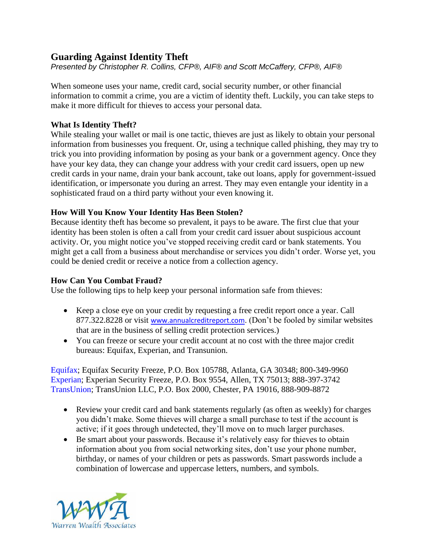# **Guarding Against Identity Theft**

*Presented by Christopher R. Collins, CFP®, AIF® and Scott McCaffery, CFP®, AIF®*

When someone uses your name, credit card, social security number, or other financial information to commit a crime, you are a victim of identity theft. Luckily, you can take steps to make it more difficult for thieves to access your personal data.

### **What Is Identity Theft?**

While stealing your wallet or mail is one tactic, thieves are just as likely to obtain your personal information from businesses you frequent. Or, using a technique called phishing, they may try to trick you into providing information by posing as your bank or a government agency. Once they have your key data, they can change your address with your credit card issuers, open up new credit cards in your name, drain your bank account, take out loans, apply for government-issued identification, or impersonate you during an arrest. They may even entangle your identity in a sophisticated fraud on a third party without your even knowing it.

### **How Will You Know Your Identity Has Been Stolen?**

Because identity theft has become so prevalent, it pays to be aware. The first clue that your identity has been stolen is often a call from your credit card issuer about suspicious account activity. Or, you might notice you've stopped receiving credit card or bank statements. You might get a call from a business about merchandise or services you didn't order. Worse yet, you could be denied credit or receive a notice from a collection agency.

### **How Can You Combat Fraud?**

Use the following tips to help keep your personal information safe from thieves:

- Keep a close eye on your credit by requesting a free credit report once a year. Call 877.322.8228 or visit [www.annualcreditreport.com](http://www.annualcreditreport.com/). (Don't be fooled by similar websites that are in the business of selling credit protection services.)
- You can freeze or secure your credit account at no cost with the three major credit bureaus: Equifax, Experian, and Transunion.

[Equifax;](https://www.equifax.com/personal/credit-report-services/credit-freeze/) Equifax Security Freeze, P.O. Box 105788, Atlanta, GA 30348; 800-349-9960 [Experian;](https://www.experian.com/freeze/center.html) Experian Security Freeze, P.O. Box 9554, Allen, TX 75013; 888-397-3742 [TransUnion;](https://freeze.transunion.com/sf/securityFreeze/landingPage.jsp) TransUnion LLC, P.O. Box 2000, Chester, PA 19016, 888-909-8872

- Review your credit card and bank statements regularly (as often as weekly) for charges you didn't make. Some thieves will charge a small purchase to test if the account is active; if it goes through undetected, they'll move on to much larger purchases.
- Be smart about your passwords. Because it's relatively easy for thieves to obtain information about you from social networking sites, don't use your phone number, birthday, or names of your children or pets as passwords. Smart passwords include a combination of lowercase and uppercase letters, numbers, and symbols.